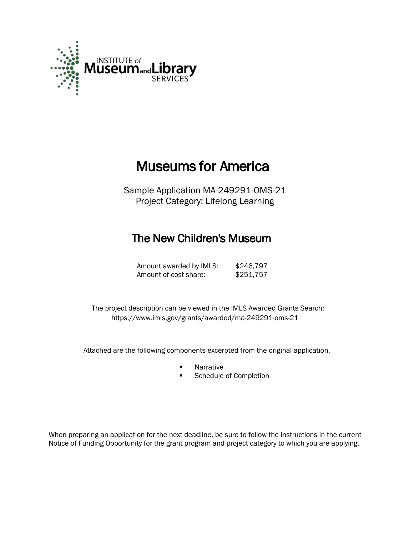

# Museums for America

Sample Application MA-249291-OMS-21 Project Category: Lifelong Learning

## The New Children's Museum

Amount awarded by IMLS: \$246,797 Amount of cost share: \$251,757

The project description can be viewed in the IMLS Awarded Grants Search: <https://www.imls.gov/grants/awarded/ma-249291-oms-21>

Attached are the following components excerpted from the original application.

- **Narrative**
- **Schedule of Completion**

When preparing an application for the next deadline, be sure to follow the instructions in the current Notice of Funding Opportunity for the grant program and project category to which you are applying.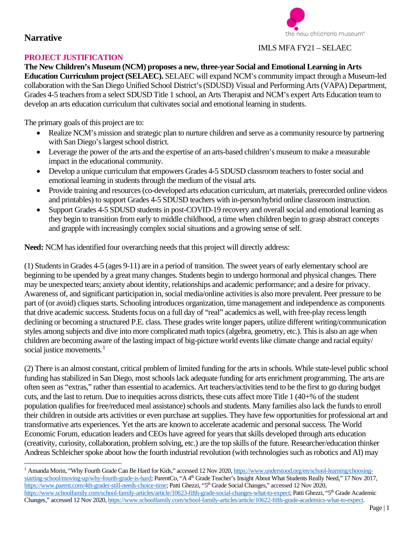

#### IMLS MFA FY21 – SELAEC

#### **PROJECT JUSTIFICATION**

**The New Children's Museum (NCM) proposes a new, three-year Social and Emotional Learning in Arts Education Curriculum project (SELAEC).** SELAEC will expand NCM's community impact through a Museum-led collaboration with the San Diego Unified School District's(SDUSD) Visual and Performing Arts (VAPA) Department, Grades 4-5 teachers from a select SDUSD Title 1 school, an Arts Therapist and NCM's expert Arts Education team to develop an arts education curriculum that cultivates social and emotional learning in students.

The primary goals of this project are to:

- Realize NCM's mission and strategic plan to nurture children and serve as a community resource by partnering with San Diego's largest school district.
- Leverage the power of the arts and the expertise of an arts-based children's museum to make a measurable impact in the educational community.
- Develop a unique curriculum that empowers Grades 4-5 SDUSD classroom teachers to foster social and emotional learning in students through the medium of the visual arts.
- Provide training and resources (co-developed arts education curriculum, art materials, prerecorded online videos and printables) to support Grades 4-5 SDUSD teachers with in-person/hybrid online classroom instruction.
- Support Grades 4-5 SDUSD students in post-COVID-19 recovery and overall social and emotional learning as they begin to transition from early to middle childhood, a time when children begin to grasp abstract concepts and grapple with increasingly complex social situations and a growing sense of self.

**Need:** NCM has identified four overarching needs that this project will directly address:

(1) Students in Grades 4-5 (ages 9-11) are in a period of transition. The sweet years of early elementary school are beginning to be upended by a great many changes. Students begin to undergo hormonal and physical changes. There may be unexpected tears; anxiety about identity, relationships and academic performance; and a desire for privacy. Awareness of, and significant participation in, social media/online activities is also more prevalent. Peer pressure to be part of (or avoid) cliques starts. Schooling introduces organization, time management and independence as components that drive academic success. Students focus on a full day of "real" academics as well, with free-play recess length declining or becoming a structured P.E. class. These grades write longer papers, utilize different writing/communication styles among subjects and dive into more complicated math topics (algebra, geometry, etc.). This is also an age when children are becoming aware of the lasting impact of big-picture world events like climate change and racial equity/ social justice movements.<sup>[1](#page-1-0)</sup>

(2) There is an almost constant, critical problem of limited funding for the arts in schools. While state-level public school funding has stabilized in San Diego, most schools lack adequate funding for arts enrichment programming. The arts are often seen as "extras," rather than essential to academics. Art teachers/activitiestend to be the first to go during budget cuts, and the last to return. Due to inequities across districts, these cuts affect more Title 1 (40+% of the student population qualifies for free/reduced meal assistance) schools and students. Many families also lack the funds to enroll their children in outside arts activities or even purchase art supplies. They have few opportunities for professional art and transformative arts experiences. Yet the arts are known to accelerate academic and personal success. The World Economic Forum, education leaders and CEOs have agreed for years that skills developed through arts education (creativity, curiosity, collaboration, problem solving, etc.) are the top skills of the future. Researcher/education thinker Andreas Schleicher spoke about how the fourth industrial revolution (with technologies such asrobotics and AI) may

<span id="page-1-0"></span><sup>&</sup>lt;sup>1</sup> Amanda Morin, "Why Fourth Grade Can Be Hard for Kids," accessed 12 Nov 2020, [https://www.understood.org/en/school-learning/choosing](https://www.understood.org/en/school-learning/choosing-starting-school/moving-up/why-fourth-grade-is-hard)[starting-school/moving-up/why-fourth-grade-is-hard;](https://www.understood.org/en/school-learning/choosing-starting-school/moving-up/why-fourth-grade-is-hard) ParentCo, "A 4<sup>th</sup> Grade Teacher's Insight About What Students Really Need," 17 Nov 2017, [https://www.parent.com/4th-grader-still-needs-choice-time;](https://www.parent.com/4th-grader-still-needs-choice-time) Patti Ghezzi, "5th Grade Social Changes," accessed 12 Nov 2020, [https://www.schoolfamily.com/school-family-articles/article/10623-fifth-grade-social-changes-what-to-expect;](https://www.schoolfamily.com/school-family-articles/article/10623-fifth-grade-social-changes-what-to-expect) Patti Ghezzi, "5<sup>th</sup> Grade Academic Changes," accessed 12 Nov 2020, [https://www.schoolfamily.com/school-family-articles/article/10622-fifth-grade-academics-what-to-expect.](https://www.schoolfamily.com/school-family-articles/article/10622-fifth-grade-academics-what-to-expect)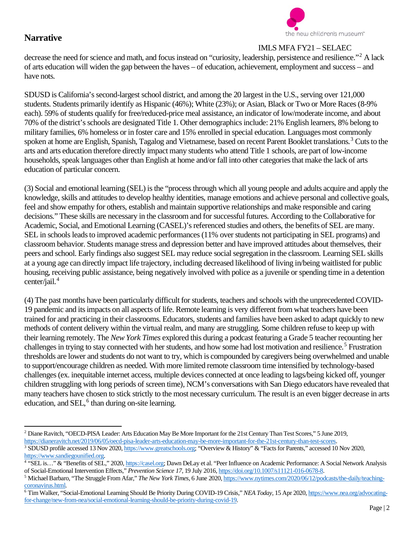

#### IMLS MFA FY21 – SELAEC

decrease the need for science and math, and focus instead on "curiosity, leadership, persistence and resilience."[2](#page-2-0) A lack of arts education will widen the gap between the haves – of education, achievement, employment and success – and have nots.

SDUSD is California's second-largest school district, and among the 20 largest in the U.S., serving over 121,000 students. Students primarily identify as Hispanic (46%); White (23%); or Asian, Black or Two or More Races(8-9% each). 59% of students qualify for free/reduced-price meal assistance, an indicator of low/moderate income, and about 70% of the district's schools are designated Title 1. Other demographics include: 21% English learners, 8% belong to military families, 6% homeless or in foster care and 15% enrolled in special education. Languages most commonly spoken at home are English, Spanish, Tagalog and Vietnamese, based on recent Parent Booklet translations.<sup>[3](#page-2-1)</sup> Cuts to the arts and arts education therefore directly impact many students who attend Title 1 schools, are part of low-income households, speak languages other than English at home and/or fall into other categories that make the lack of arts education of particular concern.

(3) Social and emotional learning (SEL) is the "process through which all young people and adults acquire and apply the knowledge, skills and attitudes to develop healthy identities, manage emotions and achieve personal and collective goals, feel and show empathy for others, establish and maintain supportive relationships and make responsible and caring decisions." These skills are necessary in the classroom and for successful futures. According to the Collaborative for Academic, Social, and Emotional Learning (CASEL)'s referenced studies and others, the benefits of SEL are many. SEL in schools leads to improved academic performances (11% over students not participating in SEL programs) and classroom behavior. Students manage stress and depression better and have improved attitudes about themselves, their peers and school. Early findings also suggest SEL may reduce social segregation in the classroom. Learning SEL skills at a young age can directly impact life trajectory, including decreased likelihood of living in/being waitlisted for public housing, receiving public assistance, being negatively involved with police as a juvenile or spending time in a detention center/jail.<sup>[4](#page-2-2)</sup>

(4) The past months have been particularly difficult for students, teachers and schools with the unprecedented COVID-19 pandemic and its impacts on all aspects of life. Remote learning is very different from what teachers have been trained for and practicing in their classrooms. Educators, students and families have been asked to adapt quickly to new methods of content delivery within the virtual realm, and many are struggling. Some children refuse to keep up with their learning remotely. The *New York Times* explored this during a podcast featuring a Grade 5 teacher recounting her challenges in trying to stay connected with her students, and how some had lost motivation and resilience.<sup>[5](#page-2-3)</sup> Frustration thresholds are lower and students do not want to try, which is compounded by caregivers being overwhelmed and unable to support/encourage children as needed. With more limited remote classroom time intensified by technology-based challenges (ex. inequitable internet access, multiple devices connected at once leading to lags/being kicked off, younger children struggling with long periods of screen time), NCM's conversations with San Diego educators have revealed that many teachers have chosen to stick strictly to the most necessary curriculum. The result is an even bigger decrease in arts education, and  $SEL<sup>6</sup>$  $SEL<sup>6</sup>$  $SEL<sup>6</sup>$  than during on-site learning.

<span id="page-2-0"></span><sup>2</sup> Diane Ravitch, "OECD-PISA Leader: Arts Education May Be More Important for the 21st Century Than Test Scores," 5 June 2019, [https://dianeravitch.net/2019/06/05/oecd-pisa-leader-arts-education-may-be-more-important-for-the-21st-century-than-test-scores.](https://dianeravitch.net/2019/06/05/oecd-pisa-leader-arts-education-may-be-more-important-for-the-21st-century-than-test-scores) <sup>3</sup> SDUSD profile accessed 13 Nov 2020[, https://www.greatschools.org;](https://www.greatschools.org/) "Overview & History" & "Facts for Parents," accessed 10 Nov 2020, [https://www.sandiegounified.org.](https://www.sandiegounified.org/)

<span id="page-2-2"></span><span id="page-2-1"></span><sup>&</sup>lt;sup>4</sup> "SEL is..." & "Benefits of SEL," 2020, [https://casel.org;](https://casel.org/) Dawn DeLay et al. "Peer Influence on Academic Performance: A Social Network Analysis of Social-Emotional Intervention Effects," *Prevention Science 17*, 19 July 2016, [https://doi.org/10.1007/s11121-016-0678-8.](https://doi.org/10.1007/s11121-016-0678-8)

<span id="page-2-3"></span><sup>5</sup> Michael Barbaro, "The Struggle From Afar," *The New York Times*, 6 June 2020, [https://www.nytimes.com/2020/06/12/podcasts/the-daily/teaching](https://www.nytimes.com/2020/06/12/podcasts/the-daily/teaching-coronavirus.html)[coronavirus.html.](https://www.nytimes.com/2020/06/12/podcasts/the-daily/teaching-coronavirus.html)

<span id="page-2-4"></span><sup>6</sup> Tim Walker, "Social-Emotional Learning Should Be Priority During COVID-19 Crisis," *NEA Today*, 15 Apr 2020, [https://www.nea.org/advocating](https://www.nea.org/advocating-for-change/new-from-nea/social-emotional-learning-should-be-priority-during-covid-19)[for-change/new-from-nea/social-emotional-learning-should-be-priority-during-covid-19.](https://www.nea.org/advocating-for-change/new-from-nea/social-emotional-learning-should-be-priority-during-covid-19)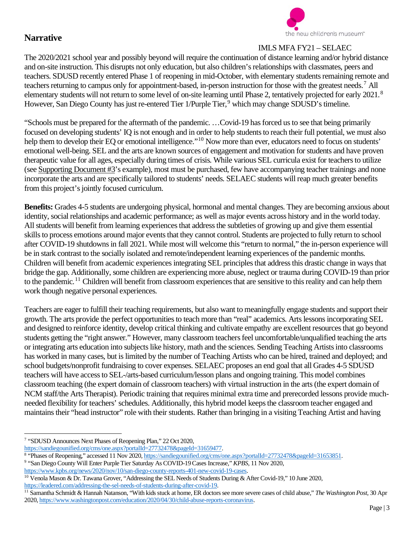

### IMLS MFA FY21 – SELAEC

The 2020/2021 school year and possibly beyond will require the continuation of distance learning and/or hybrid distance and on-site instruction. This disrupts not only education, but also children's relationships with classmates, peers and teachers. SDUSD recently entered Phase 1 of reopening in mid-October, with elementary students remaining remote and teachers returning to campus only for appointment-based, in-person instruction for those with the greatest needs.[7](#page-3-0) All elementary students will not return to some level of on-site learning until Phase 2, tentatively projected for early 2021.<sup>[8](#page-3-1)</sup> However, San Diego County has just re-entered Tier 1/Purple Tier,<sup>[9](#page-3-2)</sup> which may change SDUSD's timeline.

"Schools must be prepared for the aftermath of the pandemic. …Covid-19 has forced us to see that being primarily focused on developing students' IQ is not enough and in order to help students to reach their full potential, we must also help them to develop their EQ or emotional intelligence."<sup>[10](#page-3-3)</sup> Now more than ever, educators need to focus on students' emotional well-being. SEL and the arts are known sources of engagement and motivation for students and have proven therapeutic value for all ages, especially during times of crisis. While various SEL curricula exist for teachers to utilize (see Supporting Document #3's example), most must be purchased, few have accompanying teacher trainings and none incorporate the arts and are specifically tailored to students' needs. SELAEC students will reap much greater benefits from this project's jointly focused curriculum.

**Benefits:** Grades 4-5 students are undergoing physical, hormonal and mental changes. They are becoming anxious about identity, social relationships and academic performance; as well as major events across history and in the world today. All students will benefit from learning experiences that address the subtleties of growing up and give them essential skills to process emotions around major events that they cannot control. Students are projected to fully return to school after COVID-19 shutdowns in fall 2021. While most will welcome this "return to normal," the in-person experience will be in stark contrast to the socially isolated and remote/independent learning experiences of the pandemic months. Children will benefit from academic experiences integrating SEL principles that address this drastic change in ways that bridge the gap. Additionally, some children are experiencing more abuse, neglect or trauma during COVID-19 than prior to the pandemic.<sup>[11](#page-3-4)</sup> Children will benefit from classroom experiences that are sensitive to this reality and can help them work though negative personal experiences.

Teachers are eager to fulfill their teaching requirements, but also want to meaningfully engage students and support their growth. The arts provide the perfect opportunities to teach more than "real" academics. Arts lessons incorporating SEL and designed to reinforce identity, develop critical thinking and cultivate empathy are excellent resources that go beyond students getting the "right answer." However, many classroom teachers feel uncomfortable/unqualified teaching the arts or integrating arts education into subjects like history, math and the sciences. Sending Teaching Artists into classrooms has worked in many cases, but is limited by the number of Teaching Artists who can be hired, trained and deployed; and school budgets/nonprofit fundraising to cover expenses. SELAEC proposes an end goal that all Grades 4-5 SDUSD teachers will have access to SEL-/arts-based curriculum/lesson plans and ongoing training. This model combines classroom teaching (the expert domain of classroom teachers) with virtual instruction in the arts (the expert domain of NCM staff/the Arts Therapist). Periodic training that requires minimal extra time and prerecorded lessons provide muchneeded flexibility for teachers' schedules. Additionally, this hybrid model keeps the classroom teacher engaged and maintains their "head instructor" role with their students. Rather than bringing in a visiting Teaching Artist and having

<span id="page-3-0"></span><sup>7</sup> "SDUSD Announces Next Phases of Reopening Plan," 22 Oct 2020,

[https://sandiegounified.org/cms/one.aspx?portalId=27732478&pageId=31659477.](https://sandiegounified.org/cms/one.aspx?portalId=27732478&pageId=31659477)

<span id="page-3-1"></span><sup>&</sup>lt;sup>8</sup> "Phases of Reopening," accessed 11 Nov 2020[, https://sandiegounified.org/cms/one.aspx?portalId=27732478&pageId=31653851.](https://sandiegounified.org/cms/one.aspx?portalId=27732478&pageId=31653851)

<span id="page-3-2"></span><sup>9</sup> "San Diego County Will Enter Purple Tier Saturday As COVID-19 Cases Increase," *KPBS*, 11 Nov 2020,

[https://www.kpbs.org/news/2020/nov/10/san-diego-county-reports-401-new-covid-19-cases.](https://www.kpbs.org/news/2020/nov/10/san-diego-county-reports-401-new-covid-19-cases)

<span id="page-3-3"></span> $10$  Venola Mason & Dr. Tawana Grover, "Addressing the SEL Needs of Students During & After Covid-19," 10 June 2020, [https://leadered.com/addressing-the-sel-needs-of-students-during-after-covid-19.](https://leadered.com/addressing-the-sel-needs-of-students-during-after-covid-19)

<span id="page-3-4"></span><sup>11</sup> Samantha Schmidt & Hannah Natanson, "With kids stuck at home, ER doctors see more severe cases of child abuse," *The Washington Post*, 30 Apr 2020, [https://www.washingtonpost.com/education/2020/04/30/child-abuse-reports-coronavirus.](https://www.washingtonpost.com/education/2020/04/30/child-abuse-reports-coronavirus)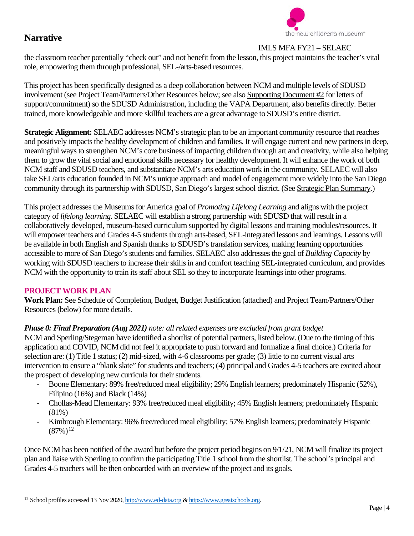

#### IMLS MFA FY21 – SELAEC

the classroom teacher potentially "check out" and not benefit from the lesson, this project maintains the teacher's vital role, empowering them through professional, SEL-/arts-based resources.

This project has been specifically designed as a deep collaboration between NCM and multiple levels of SDUSD involvement (see Project Team/Partners/Other Resources below; see also Supporting Document #2 for letters of support/commitment) so the SDUSD Administration, including the VAPA Department, also benefits directly. Better trained, more knowledgeable and more skillful teachers are a great advantage to SDUSD's entire district.

**Strategic Alignment:** SELAEC addresses NCM's strategic plan to be an important community resource that reaches and positively impacts the healthy development of children and families. It will engage current and new partners in deep, meaningful ways to strengthen NCM's core business of impacting children through art and creativity, while also helping them to grow the vital social and emotional skills necessary for healthy development. It will enhance the work of both NCM staff and SDUSD teachers, and substantiate NCM's arts education work in the community. SELAEC will also take SEL/arts education founded in NCM's unique approach and model of engagement more widely into the San Diego community through its partnership with SDUSD, San Diego's largest school district. (See Strategic Plan Summary.)

This project addresses the Museums for America goal of *Promoting Lifelong Learning* and aligns with the project category of *lifelong learning*. SELAEC will establish a strong partnership with SDUSD that will result in a collaboratively developed, museum-based curriculum supported by digital lessons and training modules/resources. It will empower teachers and Grades 4-5 students through arts-based, SEL-integrated lessons and learnings. Lessons will be available in both English and Spanish thanks to SDUSD's translation services, making learning opportunities accessible to more of San Diego's students and families. SELAEC also addresses the goal of *Building Capacity* by working with SDUSD teachers to increase their skills in and comfort teaching SEL-integrated curriculum, and provides NCM with the opportunity to train its staff about SEL so they to incorporate learnings into other programs.

#### **PROJECT WORK PLAN**

**Work Plan:** See Schedule of Completion, Budget, Budget Justification (attached) and Project Team/Partners/Other Resources (below) for more details.

#### *Phase 0: Final Preparation (Aug 2021) note: all related expenses are excluded from grant budget*

NCM and Sperling/Stegeman have identified a shortlist of potential partners, listed below. (Due to the timing of this application and COVID, NCM did not feel it appropriate to push forward and formalize a final choice.) Criteria for selection are: (1) Title 1 status; (2) mid-sized, with 4-6 classrooms per grade; (3) little to no current visual arts intervention to ensure a "blank slate" for students and teachers; (4) principal and Grades 4-5 teachers are excited about the prospect of developing new curricula for their students.

- Boone Elementary: 89% free/reduced meal eligibility; 29% English learners; predominately Hispanic (52%), Filipino (16%) and Black (14%)
- Chollas-Mead Elementary: 93% free/reduced meal eligibility; 45% English learners; predominately Hispanic (81%)
- Kimbrough Elementary: 96% free/reduced meal eligibility; 57% English learners; predominately Hispanic  $(87%)^{12}$  $(87%)^{12}$  $(87%)^{12}$

Once NCM has been notified of the award but before the project period begins on 9/1/21, NCM will finalize its project plan and liaise with Sperling to confirm the participating Title 1 school from the shortlist. The school's principal and Grades 4-5 teachers will be then onboarded with an overview of the project and its goals.

<span id="page-4-0"></span><sup>&</sup>lt;sup>12</sup> School profiles accessed 13 Nov 2020[, http://www.ed-data.org](http://www.ed-data.org/) [& https://www.greatschools.org.](https://www.greatschools.org/)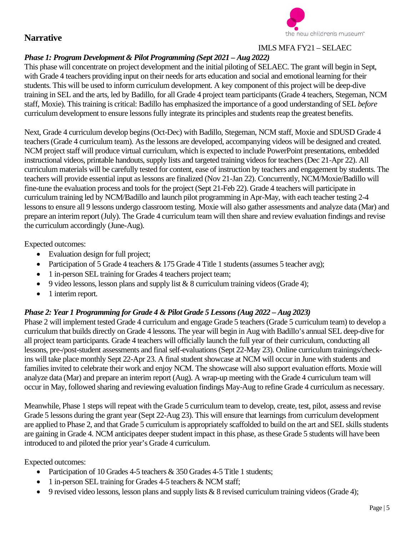

## IMLS MFA FY21 – SELAEC

### *Phase 1: Program Development & Pilot Programming (Sept 2021 – Aug 2022)*

This phase will concentrate on project development and the initial piloting of SELAEC. The grant will begin in Sept, with Grade 4 teachers providing input on their needs for arts education and social and emotional learning for their students. This will be used to inform curriculum development. A key component of this project will be deep-dive training in SEL and the arts, led by Badillo, for all Grade 4 project team participants (Grade 4 teachers, Stegeman, NCM staff, Moxie). This training is critical: Badillo has emphasized the importance of a good understanding of SEL *before* curriculum development to ensure lessons fully integrate its principles and students reap the greatest benefits.

Next, Grade 4 curriculum develop begins (Oct-Dec) with Badillo, Stegeman, NCM staff, Moxie and SDUSD Grade 4 teachers (Grade 4 curriculum team). As the lessons are developed, accompanying videos will be designed and created. NCM project staff will produce virtual curriculum, which is expected to include PowerPoint presentations, embedded instructional videos, printable handouts, supply lists and targeted training videos for teachers (Dec 21-Apr 22). All curriculum materials will be carefully tested for content, ease of instruction by teachers and engagement by students. The teachers will provide essential input as lessons are finalized (Nov 21-Jan 22). Concurrently, NCM/Moxie/Badillo will fine-tune the evaluation process and tools for the project (Sept 21-Feb 22). Grade 4 teachers will participate in curriculum training led by NCM/Badillo and launch pilot programming in Apr-May, with each teacher testing 2-4 lessons to ensure all 9 lessons undergo classroom testing. Moxie will also gather assessments and analyze data (Mar) and prepare an interim report (July). The Grade 4 curriculum team will then share and review evaluation findings and revise the curriculum accordingly (June-Aug).

Expected outcomes:

- Evaluation design for full project;
- Participation of 5 Grade 4 teachers & 175 Grade 4 Title 1 students (assumes 5 teacher avg);
- 1 in-person SEL training for Grades 4 teachers project team;
- 9 video lessons, lesson plans and supply list  $& 8$  curriculum training videos (Grade 4);
- 1 interim report.

### *Phase 2: Year 1 Programming for Grade 4 & Pilot Grade 5 Lessons (Aug 2022 – Aug 2023)*

Phase 2 will implement tested Grade 4 curriculum and engage Grade 5 teachers(Grade 5 curriculum team) to develop a curriculum that builds directly on Grade 4 lessons. The year will begin in Aug with Badillo's annual SEL deep-dive for all project team participants. Grade 4 teachers will officially launch the full year of their curriculum, conducting all lessons, pre-/post-student assessments and final self-evaluations(Sept 22-May 23). Online curriculum trainings/checkins will take place monthly Sept 22-Apr 23. A final student showcase at NCM will occur in June with students and families invited to celebrate their work and enjoy NCM. The showcase will also support evaluation efforts. Moxie will analyze data (Mar) and prepare an interim report (Aug). A wrap-up meeting with the Grade 4 curriculum team will occur in May, followed sharing and reviewing evaluation findings May-Aug to refine Grade 4 curriculum as necessary.

Meanwhile, Phase 1 steps will repeat with the Grade 5 curriculum team to develop, create, test, pilot, assess and revise Grade 5 lessons during the grant year (Sept 22-Aug 23). This will ensure that learnings from curriculum development are applied to Phase 2, and that Grade 5 curriculum is appropriately scaffolded to build on the art and SEL skills students are gaining in Grade 4. NCM anticipates deeper student impact in this phase, as these Grade 5 students will have been introduced to and piloted the prior year's Grade 4 curriculum.

Expected outcomes:

- Participation of 10 Grades 4-5 teachers & 350 Grades 4-5 Title 1 students;
- 1 in-person SEL training for Grades 4-5 teachers & NCM staff;
- 9 revised video lessons, lesson plans and supply lists & 8 revised curriculum training videos(Grade 4);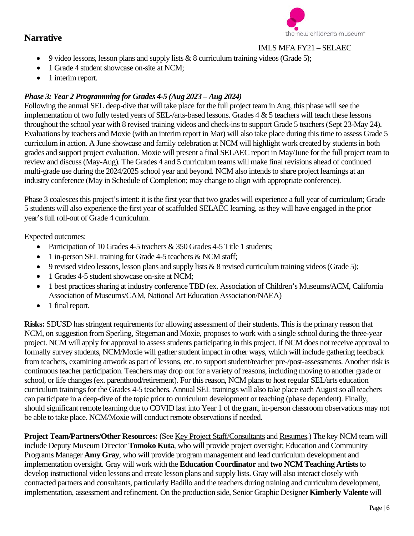

#### IMLS MFA FY21 – SELAEC

- 9 video lessons, lesson plans and supply lists  $& 8$  curriculum training videos (Grade 5);
- 1 Grade 4 student showcase on-site at NCM:
- 1 interim report.

#### *Phase 3: Year 2 Programming for Grades 4-5 (Aug 2023 – Aug 2024)*

Following the annual SEL deep-dive that will take place for the full project team in Aug, this phase will see the implementation of two fully tested years of SEL-/arts-based lessons. Grades 4 & 5 teachers will teach these lessons throughout the school year with 8 revised training videos and check-ins to support Grade 5 teachers (Sept 23-May 24). Evaluations by teachers and Moxie (with an interim report in Mar) will also take place during this time to assess Grade 5 curriculum in action. A June showcase and family celebration at NCM will highlight work created by students in both grades and support project evaluation. Moxie will present a final SELAEC report in May/June for the full project team to review and discuss(May-Aug). The Grades 4 and 5 curriculum teams will make final revisions ahead of continued multi-grade use during the 2024/2025 school year and beyond. NCM also intends to share project learnings at an industry conference (May in Schedule of Completion; may change to align with appropriate conference).

Phase 3 coalesces this project's intent: it is the first year that two grades will experience a full year of curriculum; Grade 5 students will also experience the first year of scaffolded SELAEC learning, as they will have engaged in the prior year's full roll-out of Grade 4 curriculum.

Expected outcomes:

- Participation of 10 Grades 4-5 teachers & 350 Grades 4-5 Title 1 students;
- 1 in-person SEL training for Grade 4-5 teachers & NCM staff;
- 9 revised video lessons, lesson plans and supply lists  $& 8$  revised curriculum training videos (Grade 5);
- 1 Grades 4-5 student showcase on-site at NCM;
- 1 best practices sharing at industry conference TBD (ex. Association of Children's Museums/ACM, California Association of Museums/CAM, National Art Education Association/NAEA)
- 1 final report.

**Risks:** SDUSD has stringent requirements for allowing assessment of their students. This is the primary reason that NCM, on suggestion from Sperling, Stegeman and Moxie, proposes to work with a single school during the three-year project. NCM will apply for approval to assess students participating in this project. If NCM does not receive approval to formally survey students, NCM/Moxie will gather student impact in other ways, which will include gathering feedback from teachers, examining artwork as part of lessons, etc. to support student/teacher pre-/post-assessments. Another risk is continuous teacher participation. Teachers may drop out for a variety of reasons, including moving to another grade or school, or life changes (ex. parenthood/retirement). For this reason, NCM plans to host regular SEL/arts education curriculum trainings for the Grades 4-5 teachers. Annual SEL trainings will also take place each August so all teachers can participate in a deep-dive of the topic prior to curriculum development or teaching (phase dependent). Finally, should significant remote learning due to COVID last into Year 1 of the grant, in-person classroom observations may not be able to take place. NCM/Moxie will conduct remote observations if needed.

**Project Team/Partners/Other Resources:** (See Key Project Staff/Consultants and Resumes.) The key NCM team will include Deputy Museum Director **Tomoko Kuta**, who will provide project oversight; Education and Community Programs Manager **Amy Gray**, who will provide program management and lead curriculum development and implementation oversight. Gray will work with the **Education Coordinator** and **two NCM Teaching Artists**to develop instructional video lessons and create lesson plans and supply lists. Gray will also interact closely with contracted partners and consultants, particularly Badillo and the teachers during training and curriculum development, implementation, assessment and refinement. On the production side, Senior Graphic Designer **Kimberly Valente** will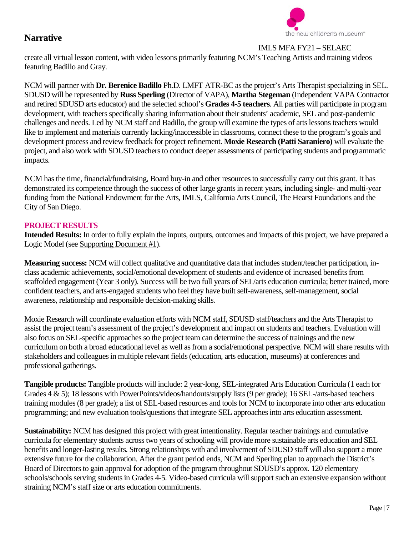

IMLS MFA FY21 – SELAEC

create all virtual lesson content, with video lessons primarily featuring NCM's Teaching Artists and training videos featuring Badillo and Gray.

NCM will partner with **Dr. Berenice Badillo** Ph.D. LMFT ATR-BC asthe project's Arts Therapist specializing in SEL. SDUSD will be represented by **Russ Sperling** (Director of VAPA), **Martha Stegeman** (Independent VAPA Contractor and retired SDUSD arts educator) and the selected school's **Grades 4-5 teachers**. All parties will participate in program development, with teachers specifically sharing information about their students' academic, SEL and post-pandemic challenges and needs. Led by NCM staff and Badillo, the group will examine the types of arts lessons teachers would like to implement and materials currently lacking/inaccessible in classrooms, connect these to the program's goals and development process and review feedback for project refinement. **Moxie Research (Patti Saraniero)** will evaluate the project, and also work with SDUSD teachers to conduct deeper assessments of participating students and programmatic impacts.

NCM has the time, financial/fundraising, Board buy-in and other resources to successfully carry out this grant. It has demonstrated its competence through the success of other large grants in recent years, including single- and multi-year funding from the National Endowment for the Arts, IMLS, California Arts Council, The Hearst Foundations and the City of San Diego.

#### **PROJECT RESULTS**

**Intended Results:** In order to fully explain the inputs, outputs, outcomes and impacts of this project, we have prepared a Logic Model (see Supporting Document #1).

**Measuring success:** NCM will collect qualitative and quantitative data that includes student/teacher participation, inclass academic achievements, social/emotional development of students and evidence of increased benefits from scaffolded engagement (Year 3 only). Success will be two full years of SEL/arts education curricula; better trained, more confident teachers, and arts-engaged students who feel they have built self-awareness, self-management, social awareness, relationship and responsible decision-making skills.

Moxie Research will coordinate evaluation efforts with NCM staff, SDUSD staff/teachers and the Arts Therapist to assist the project team's assessment of the project's development and impact on students and teachers. Evaluation will also focus on SEL-specific approaches so the project team can determine the success of trainings and the new curriculum on both a broad educational level as well as from a social/emotional perspective. NCM will share results with stakeholders and colleagues in multiple relevant fields (education, arts education, museums) at conferences and professional gatherings.

**Tangible products:** Tangible products will include: 2 year-long, SEL-integrated Arts Education Curricula (1 each for Grades 4 & 5); 18 lessons with PowerPoints/videos/handouts/supply lists (9 per grade); 16 SEL-/arts-based teachers training modules (8 per grade); a list of SEL-based resources and toolsfor NCM to incorporate into other arts education programming; and new evaluation tools/questions that integrate SEL approaches into arts education assessment.

**Sustainability:** NCM has designed this project with great intentionality. Regular teacher trainings and cumulative curricula for elementary students across two years of schooling will provide more sustainable arts education and SEL benefits and longer-lasting results. Strong relationships with and involvement of SDUSD staff will also support a more extensive future for the collaboration. After the grant period ends, NCM and Sperling plan to approach the District's Board of Directors to gain approval for adoption of the program throughout SDUSD's approx. 120 elementary schools/schools serving students in Grades 4-5. Video-based curricula will support such an extensive expansion without straining NCM's staff size or arts education commitments.